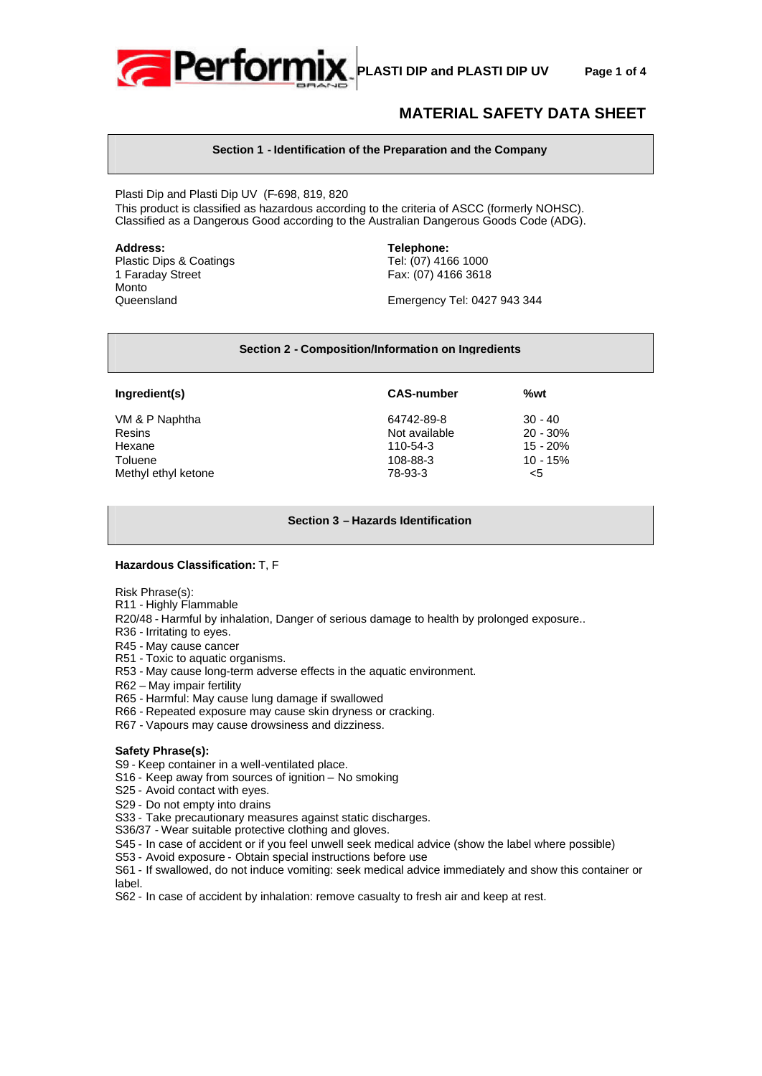

# **MATERIAL SAFETY DATA SHEET**

# **Section 1 - Identification of the Preparation and the Company**

Plasti Dip and Plasti Dip UV (F-698, 819, 820 This product is classified as hazardous according to the criteria of ASCC (formerly NOHSC). Classified as a Dangerous Good according to the Australian Dangerous Goods Code (ADG).

Plastic Dips & Coatings 1 Faraday Street Fax: (07) 4166 3618 Monto

**Address: Telephone:**

Queensland Emergency Tel: 0427 943 344

#### **Section 2 - Composition/Information on Ingredients**

#### **Ingredient(s) CAS-number %wt**

VM & P Naphtha 64742-89-8 30 - 40 Resins 20 - 30% Hexane 110-54-3 15 - 20% Toluene 108-88-3 10 - 15% Methyl ethyl ketone  $78-93-3$  <5

# **Section 3 – Hazards Identification**

# **Hazardous Classification:** T, F

Risk Phrase(s):

- R11 Highly Flammable
- R20/48 Harmful by inhalation, Danger of serious damage to health by prolonged exposure..
- R36 Irritating to eyes.
- R45 May cause cancer
- R51 Toxic to aquatic organisms.
- R53 May cause long-term adverse effects in the aquatic environment.
- R62 May impair fertility
- R65 Harmful: May cause lung damage if swallowed
- R66 Repeated exposure may cause skin dryness or cracking.
- R67 Vapours may cause drowsiness and dizziness.

# **Safety Phrase(s):**

S9 - Keep container in a well-ventilated place.

- S16 Keep away from sources of ignition No smoking
- S25 Avoid contact with eyes.
- S29 Do not empty into drains

S33 - Take precautionary measures against static discharges.

- S36/37 Wear suitable protective clothing and gloves.
- S45 In case of accident or if you feel unwell seek medical advice (show the label where possible)
- S53 Avoid exposure Obtain special instructions before use

S61 - If swallowed, do not induce vomiting: seek medical advice immediately and show this container or label.

S62 - In case of accident by inhalation: remove casualty to fresh air and keep at rest.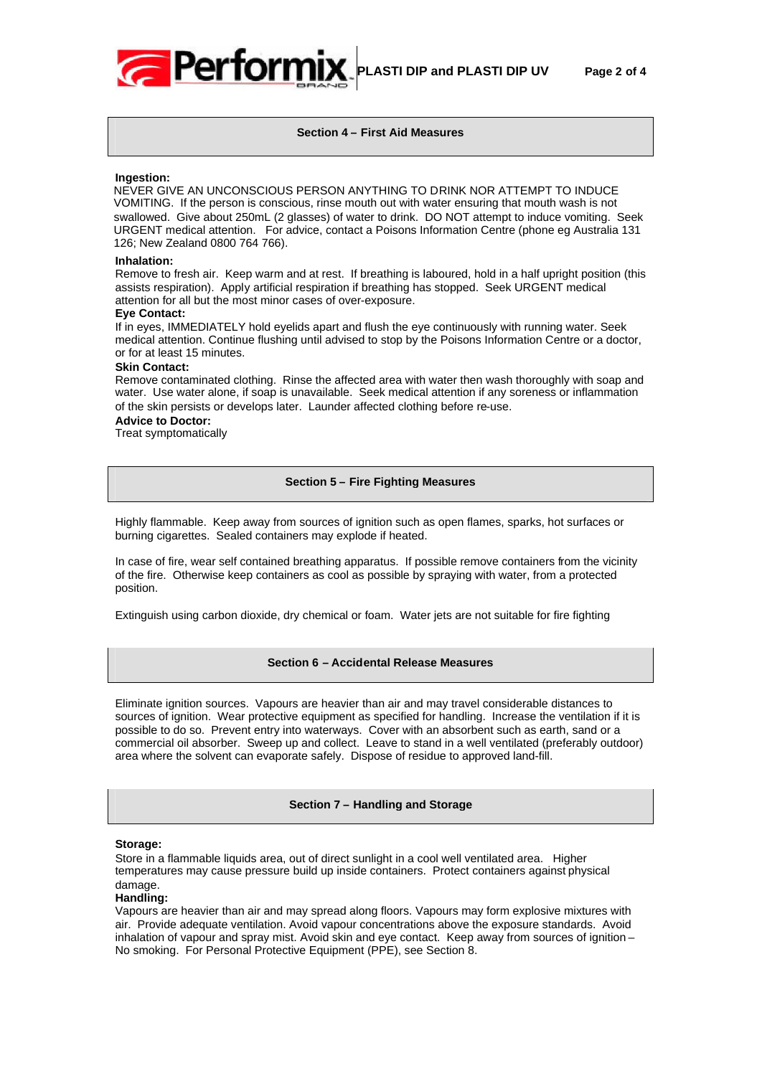

# **Section 4 – First Aid Measures**

#### **Ingestion:**

NEVER GIVE AN UNCONSCIOUS PERSON ANYTHING TO DRINK NOR ATTEMPT TO INDUCE VOMITING. If the person is conscious, rinse mouth out with water ensuring that mouth wash is not swallowed. Give about 250mL (2 glasses) of water to drink. DO NOT attempt to induce vomiting. Seek URGENT medical attention. For advice, contact a Poisons Information Centre (phone eg Australia 131 126; New Zealand 0800 764 766).

#### **Inhalation:**

Remove to fresh air. Keep warm and at rest. If breathing is laboured, hold in a half upright position (this assists respiration). Apply artificial respiration if breathing has stopped. Seek URGENT medical attention for all but the most minor cases of over-exposure.

#### **Eye Contact:**

If in eyes, IMMEDIATELY hold eyelids apart and flush the eye continuously with running water. Seek medical attention. Continue flushing until advised to stop by the Poisons Information Centre or a doctor, or for at least 15 minutes.

# **Skin Contact:**

Remove contaminated clothing. Rinse the affected area with water then wash thoroughly with soap and water. Use water alone, if soap is unavailable. Seek medical attention if any soreness or inflammation of the skin persists or develops later. Launder affected clothing before re-use.

# **Advice to Doctor:**

Treat symptomatically

#### **Section 5 – Fire Fighting Measures**

Highly flammable. Keep away from sources of ignition such as open flames, sparks, hot surfaces or burning cigarettes. Sealed containers may explode if heated.

In case of fire, wear self contained breathing apparatus. If possible remove containers from the vicinity of the fire. Otherwise keep containers as cool as possible by spraying with water, from a protected position.

Extinguish using carbon dioxide, dry chemical or foam. Water jets are not suitable for fire fighting

# **Section 6 – Accidental Release Measures**

Eliminate ignition sources. Vapours are heavier than air and may travel considerable distances to sources of ignition. Wear protective equipment as specified for handling. Increase the ventilation if it is possible to do so. Prevent entry into waterways. Cover with an absorbent such as earth, sand or a commercial oil absorber. Sweep up and collect. Leave to stand in a well ventilated (preferably outdoor) area where the solvent can evaporate safely. Dispose of residue to approved land-fill.

# **Section 7 – Handling and Storage**

#### **Storage:**

Store in a flammable liquids area, out of direct sunlight in a cool well ventilated area. Higher temperatures may cause pressure build up inside containers. Protect containers against physical damage.

#### **Handling:**

Vapours are heavier than air and may spread along floors. Vapours may form explosive mixtures with air. Provide adequate ventilation. Avoid vapour concentrations above the exposure standards. Avoid inhalation of vapour and spray mist. Avoid skin and eye contact. Keep away from sources of ignition – No smoking. For Personal Protective Equipment (PPE), see Section 8.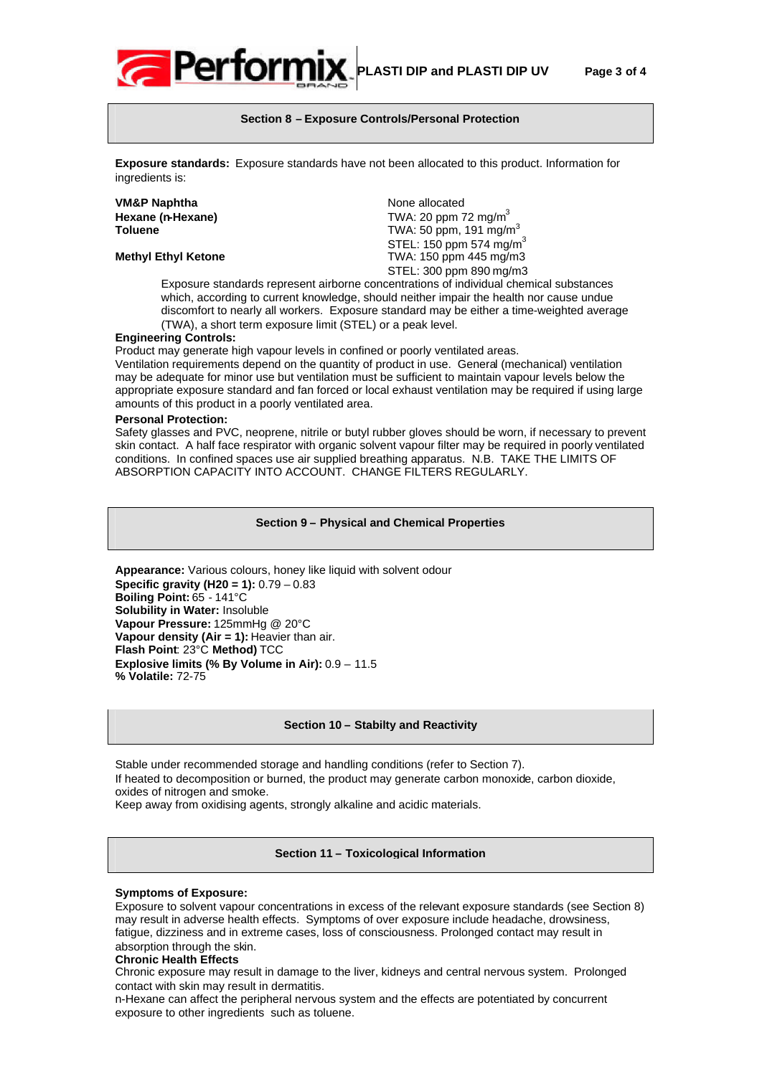

# **Section 8 – Exposure Controls/Personal Protection**

**Exposure standards:** Exposure standards have not been allocated to this product. Information for ingredients is:

| <b>VM&amp;P Naphtha</b>    | None allocated                      |
|----------------------------|-------------------------------------|
| Hexane (n-Hexane)          | TWA: 20 ppm 72 mg/m <sup>3</sup>    |
| <b>Toluene</b>             | TWA: 50 ppm, 191 mg/m <sup>3</sup>  |
|                            | STEL: 150 ppm 574 mg/m <sup>3</sup> |
| <b>Methyl Ethyl Ketone</b> | TWA: 150 ppm 445 mg/m3              |
|                            | STEL: 300 ppm 890 mg/m3             |

Exposure standards represent airborne concentrations of individual chemical substances which, according to current knowledge, should neither impair the health nor cause undue discomfort to nearly all workers. Exposure standard may be either a time-weighted average (TWA), a short term exposure limit (STEL) or a peak level.

### **Engineering Controls:**

Product may generate high vapour levels in confined or poorly ventilated areas.

Ventilation requirements depend on the quantity of product in use. General (mechanical) ventilation may be adequate for minor use but ventilation must be sufficient to maintain vapour levels below the appropriate exposure standard and fan forced or local exhaust ventilation may be required if using large amounts of this product in a poorly ventilated area.

#### **Personal Protection:**

Safety glasses and PVC, neoprene, nitrile or butyl rubber gloves should be worn, if necessary to prevent skin contact. A half face respirator with organic solvent vapour filter may be required in poorly ventilated conditions. In confined spaces use air supplied breathing apparatus. N.B. TAKE THE LIMITS OF ABSORPTION CAPACITY INTO ACCOUNT. CHANGE FILTERS REGULARLY.

#### **Section 9 – Physical and Chemical Properties**

**Appearance:** Various colours, honey like liquid with solvent odour **Specific gravity (H20 = 1):** 0.79 – 0.83 **Boiling Point:** 65 - 141°C **Solubility in Water:** Insoluble **Vapour Pressure:** 125mmHg @ 20°C **Vapour density (Air = 1):** Heavier than air. **Flash Point**: 23°C **Method)** TCC **Explosive limits (% By Volume in Air):** 0.9 – 11.5 **% Volatile:** 72-75

#### **Section 10 – Stabilty and Reactivity**

Stable under recommended storage and handling conditions (refer to Section 7). If heated to decomposition or burned, the product may generate carbon monoxide, carbon dioxide, oxides of nitrogen and smoke.

Keep away from oxidising agents, strongly alkaline and acidic materials.

**Section 11 – Toxicological Information**

#### **Symptoms of Exposure:**

Exposure to solvent vapour concentrations in excess of the relevant exposure standards (see Section 8) may result in adverse health effects. Symptoms of over exposure include headache, drowsiness, fatigue, dizziness and in extreme cases, loss of consciousness. Prolonged contact may result in absorption through the skin.

#### **Chronic Health Effects**

Chronic exposure may result in damage to the liver, kidneys and central nervous system. Prolonged contact with skin may result in dermatitis.

n-Hexane can affect the peripheral nervous system and the effects are potentiated by concurrent exposure to other ingredients such as toluene.